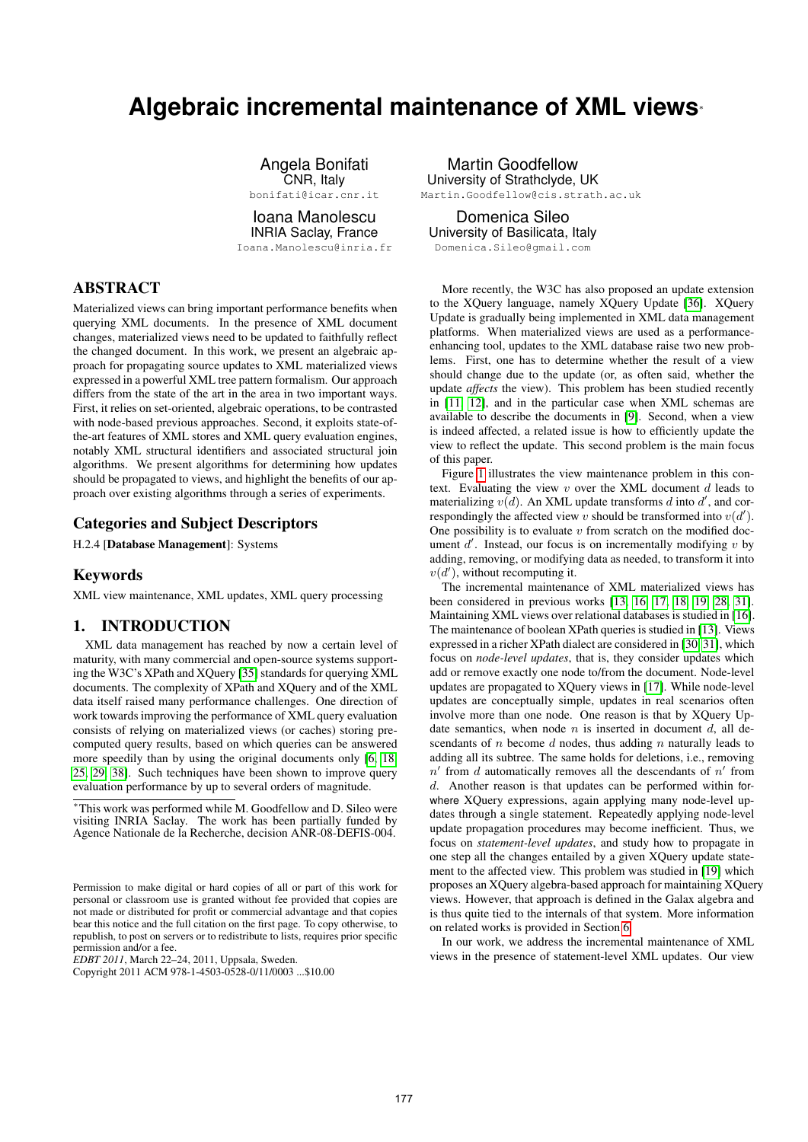# **Algebraic incremental maintenance of XML views**<sup>∗</sup>

Angela Bonifati CNR, Italy bonifati@icar.cnr.it

Ioana Manolescu

INRIA Saclay, France Ioana.Manolescu@inria.fr

# ABSTRACT

Materialized views can bring important performance benefits when querying XML documents. In the presence of XML document changes, materialized views need to be updated to faithfully reflect the changed document. In this work, we present an algebraic approach for propagating source updates to XML materialized views expressed in a powerful XML tree pattern formalism. Our approach differs from the state of the art in the area in two important ways. First, it relies on set-oriented, algebraic operations, to be contrasted with node-based previous approaches. Second, it exploits state-ofthe-art features of XML stores and XML query evaluation engines, notably XML structural identifiers and associated structural join algorithms. We present algorithms for determining how updates should be propagated to views, and highlight the benefits of our approach over existing algorithms through a series of experiments.

#### Categories and Subject Descriptors

H.2.4 [Database Management]: Systems

#### Keywords

XML view maintenance, XML updates, XML query processing

# 1. INTRODUCTION

XML data management has reached by now a certain level of maturity, with many commercial and open-source systems supporting the W3C's XPath and XQuery [\[35\]](#page-11-0) standards for querying XML documents. The complexity of XPath and XQuery and of the XML data itself raised many performance challenges. One direction of work towards improving the performance of XML query evaluation consists of relying on materialized views (or caches) storing precomputed query results, based on which queries can be answered more speedily than by using the original documents only [\[6,](#page-11-1) [18,](#page-11-2) [25,](#page-11-3) [29,](#page-11-4) [38\]](#page-11-5). Such techniques have been shown to improve query evaluation performance by up to several orders of magnitude.

<sup>∗</sup>This work was performed while M. Goodfellow and D. Sileo were visiting INRIA Saclay. The work has been partially funded by Agence Nationale de la Recherche, decision ANR-08-DEFIS-004.

*EDBT 2011*, March 22–24, 2011, Uppsala, Sweden.

Copyright 2011 ACM 978-1-4503-0528-0/11/0003 ...\$10.00

Martin Goodfellow University of Strathclyde, UK Martin.Goodfellow@cis.strath.ac.uk

Domenica Sileo University of Basilicata, Italy Domenica.Sileo@gmail.com

More recently, the W3C has also proposed an update extension to the XQuery language, namely XQuery Update [\[36\]](#page-11-6). XQuery Update is gradually being implemented in XML data management platforms. When materialized views are used as a performanceenhancing tool, updates to the XML database raise two new problems. First, one has to determine whether the result of a view should change due to the update (or, as often said, whether the update *affects* the view). This problem has been studied recently in [\[11,](#page-11-7) [12\]](#page-11-8), and in the particular case when XML schemas are available to describe the documents in [\[9\]](#page-11-9). Second, when a view is indeed affected, a related issue is how to efficiently update the view to reflect the update. This second problem is the main focus of this paper.

Figure [1](#page-1-0) illustrates the view maintenance problem in this context. Evaluating the view  $v$  over the XML document  $d$  leads to materializing  $v(d)$ . An XML update transforms d into d', and correspondingly the affected view v should be transformed into  $v(d')$ . One possibility is to evaluate  $v$  from scratch on the modified document  $d'$ . Instead, our focus is on incrementally modifying  $v$  by adding, removing, or modifying data as needed, to transform it into  $v(d')$ , without recomputing it.

The incremental maintenance of XML materialized views has been considered in previous works [\[13,](#page-11-10) [16,](#page-11-11) [17,](#page-11-12) [18,](#page-11-2) [19,](#page-11-13) [28,](#page-11-14) [31\]](#page-11-15). Maintaining XML views over relational databases is studied in [\[16\]](#page-11-11). The maintenance of boolean XPath queries is studied in [\[13\]](#page-11-10). Views expressed in a richer XPath dialect are considered in [\[30,](#page-11-16) [31\]](#page-11-15), which focus on *node-level updates*, that is, they consider updates which add or remove exactly one node to/from the document. Node-level updates are propagated to XQuery views in [\[17\]](#page-11-12). While node-level updates are conceptually simple, updates in real scenarios often involve more than one node. One reason is that by XQuery Update semantics, when node  $n$  is inserted in document  $d$ , all descendants of n become d nodes, thus adding n naturally leads to adding all its subtree. The same holds for deletions, i.e., removing  $n'$  from d automatically removes all the descendants of  $n'$  from d. Another reason is that updates can be performed within forwhere XQuery expressions, again applying many node-level updates through a single statement. Repeatedly applying node-level update propagation procedures may become inefficient. Thus, we focus on *statement-level updates*, and study how to propagate in one step all the changes entailed by a given XQuery update statement to the affected view. This problem was studied in [\[19\]](#page-11-13) which proposes an XQuery algebra-based approach for maintaining XQuery views. However, that approach is defined in the Galax algebra and is thus quite tied to the internals of that system. More information on related works is provided in Section [6.](#page-10-0)

In our work, we address the incremental maintenance of XML views in the presence of statement-level XML updates. Our view

Permission to make digital or hard copies of all or part of this work for personal or classroom use is granted without fee provided that copies are not made or distributed for profit or commercial advantage and that copies bear this notice and the full citation on the first page. To copy otherwise, to republish, to post on servers or to redistribute to lists, requires prior specific permission and/or a fee.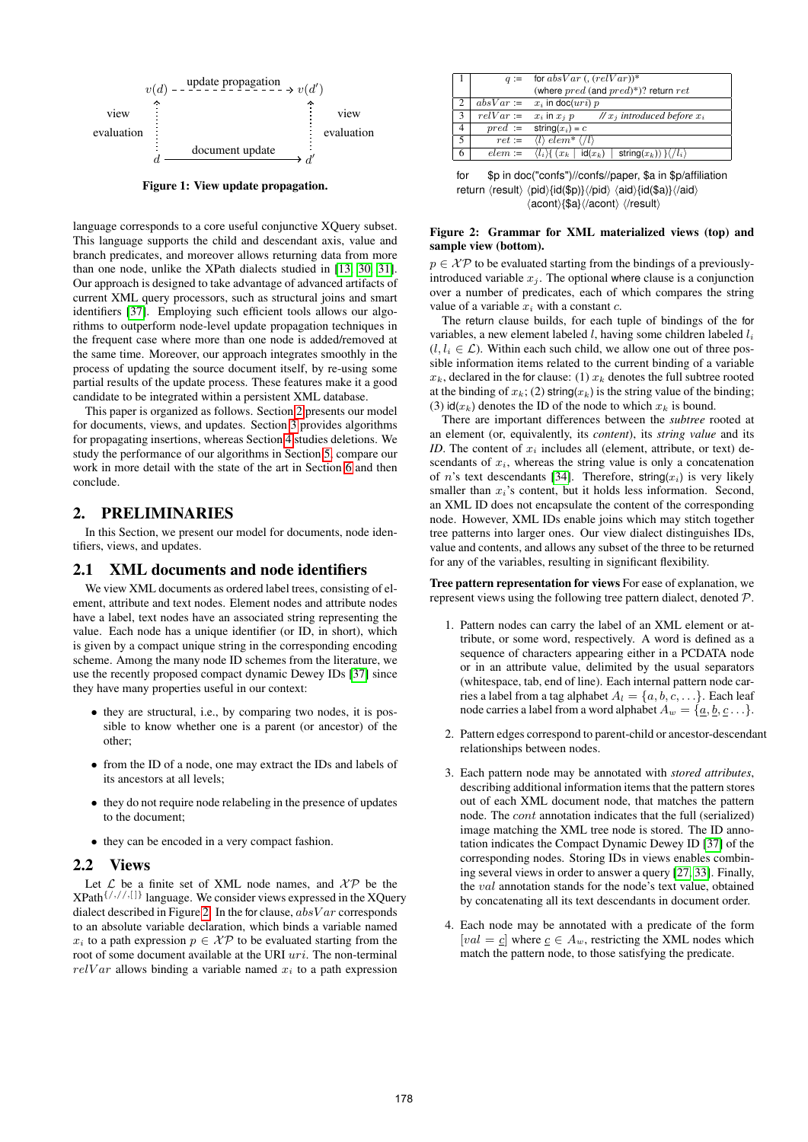

<span id="page-1-0"></span>Figure 1: View update propagation.

language corresponds to a core useful conjunctive XQuery subset. This language supports the child and descendant axis, value and branch predicates, and moreover allows returning data from more than one node, unlike the XPath dialects studied in [\[13,](#page-11-10) [30,](#page-11-16) [31\]](#page-11-15). Our approach is designed to take advantage of advanced artifacts of current XML query processors, such as structural joins and smart identifiers [\[37\]](#page-11-17). Employing such efficient tools allows our algorithms to outperform node-level update propagation techniques in the frequent case where more than one node is added/removed at the same time. Moreover, our approach integrates smoothly in the process of updating the source document itself, by re-using some partial results of the update process. These features make it a good candidate to be integrated within a persistent XML database.

This paper is organized as follows. Section [2](#page-1-1) presents our model for documents, views, and updates. Section [3](#page-2-0) provides algorithms for propagating insertions, whereas Section [4](#page-7-0) studies deletions. We study the performance of our algorithms in Section [5,](#page-8-0) compare our work in more detail with the state of the art in Section [6](#page-10-0) and then conclude.

# <span id="page-1-1"></span>2. PRELIMINARIES

In this Section, we present our model for documents, node identifiers, views, and updates.

#### 2.1 XML documents and node identifiers

We view XML documents as ordered label trees, consisting of element, attribute and text nodes. Element nodes and attribute nodes have a label, text nodes have an associated string representing the value. Each node has a unique identifier (or ID, in short), which is given by a compact unique string in the corresponding encoding scheme. Among the many node ID schemes from the literature, we use the recently proposed compact dynamic Dewey IDs [\[37\]](#page-11-17) since they have many properties useful in our context:

- they are structural, i.e., by comparing two nodes, it is possible to know whether one is a parent (or ancestor) of the other;
- from the ID of a node, one may extract the IDs and labels of its ancestors at all levels;
- they do not require node relabeling in the presence of updates to the document;
- they can be encoded in a very compact fashion.

#### 2.2 Views

Let  $\mathcal L$  be a finite set of XML node names, and  $\mathcal{X} \mathcal{P}$  be the  $XPath \{/,//\}$  language. We consider views expressed in the XQuery dialect described in Figure [2.](#page-1-2) In the for clause,  $absVar$  corresponds to an absolute variable declaration, which binds a variable named  $x_i$  to a path expression  $p \in \mathcal{XP}$  to be evaluated starting from the root of some document available at the URI uri. The non-terminal  $relVar$  allows binding a variable named  $x_i$  to a path expression

|                | $q :=$      | for absVar $($ , $(relVar))^*$                                                   |
|----------------|-------------|----------------------------------------------------------------------------------|
|                |             | (where $pred$ (and $pred(*)$ ?) return ret                                       |
| $\overline{2}$ | $absVar :=$ | $x_i$ in doc $(uri)$ p                                                           |
| 3              | $relVar :=$ | // $x_i$ introduced before $x_i$<br>$x_i$ in $x_j$ $p$                           |
| $\overline{4}$ | $pred :=$   | string $(x_i) = c$                                                               |
| 5              | $ret :=$    | $\langle l \rangle$ elem <sup>*</sup> $\langle l \rangle$                        |
| 6              | $elem :=$   | string $(x_k)$ } $\langle l_i \rangle$<br>$\langle l_i \rangle$ $(x_k   id(x_k)$ |

for \$p in doc("confs")//confs//paper, \$a in \$p/affiliation return  $\langle result \rangle \langle pid \rangle \{id(\$p)\}\langle \langle pid \rangle \langle aid \rangle \{id(\$a)\}\langle \langle aid \rangle$  $\langle$  acont $\rangle$ {\$a} $\langle$ /acont $\rangle$   $\langle$ /result $\rangle$ 

#### <span id="page-1-2"></span>Figure 2: Grammar for XML materialized views (top) and sample view (bottom).

 $p \in \mathcal{XP}$  to be evaluated starting from the bindings of a previouslyintroduced variable  $x_i$ . The optional where clause is a conjunction over a number of predicates, each of which compares the string value of a variable  $x_i$  with a constant  $c$ .

The return clause builds, for each tuple of bindings of the for variables, a new element labeled  $l$ , having some children labeled  $l_i$  $(l, l_i \in \mathcal{L})$ . Within each such child, we allow one out of three possible information items related to the current binding of a variable  $x_k$ , declared in the for clause: (1)  $x_k$  denotes the full subtree rooted at the binding of  $x_k$ ; (2) string( $x_k$ ) is the string value of the binding; (3)  $\text{id}(x_k)$  denotes the ID of the node to which  $x_k$  is bound.

There are important differences between the *subtree* rooted at an element (or, equivalently, its *content*), its *string value* and its *ID*. The content of  $x_i$  includes all (element, attribute, or text) descendants of  $x_i$ , whereas the string value is only a concatenation of *n*'s text descendants [\[34\]](#page-11-18). Therefore, string( $x_i$ ) is very likely smaller than  $x_i$ 's content, but it holds less information. Second, an XML ID does not encapsulate the content of the corresponding node. However, XML IDs enable joins which may stitch together tree patterns into larger ones. Our view dialect distinguishes IDs, value and contents, and allows any subset of the three to be returned for any of the variables, resulting in significant flexibility.

Tree pattern representation for views For ease of explanation, we represent views using the following tree pattern dialect, denoted P.

- 1. Pattern nodes can carry the label of an XML element or attribute, or some word, respectively. A word is defined as a sequence of characters appearing either in a PCDATA node or in an attribute value, delimited by the usual separators (whitespace, tab, end of line). Each internal pattern node carries a label from a tag alphabet  $A_l = \{a, b, c, \dots\}$ . Each leaf node carries a label from a word alphabet  $A_w = \{a, b, c \dots\}$ .
- 2. Pattern edges correspond to parent-child or ancestor-descendant relationships between nodes.
- 3. Each pattern node may be annotated with *stored attributes*, describing additional information items that the pattern stores out of each XML document node, that matches the pattern node. The cont annotation indicates that the full (serialized) image matching the XML tree node is stored. The ID annotation indicates the Compact Dynamic Dewey ID [\[37\]](#page-11-17) of the corresponding nodes. Storing IDs in views enables combining several views in order to answer a query [\[27,](#page-11-19) [33\]](#page-11-20). Finally, the val annotation stands for the node's text value, obtained by concatenating all its text descendants in document order.
- 4. Each node may be annotated with a predicate of the form [val =  $\underline{c}$ ] where  $\underline{c} \in A_w$ , restricting the XML nodes which match the pattern node, to those satisfying the predicate.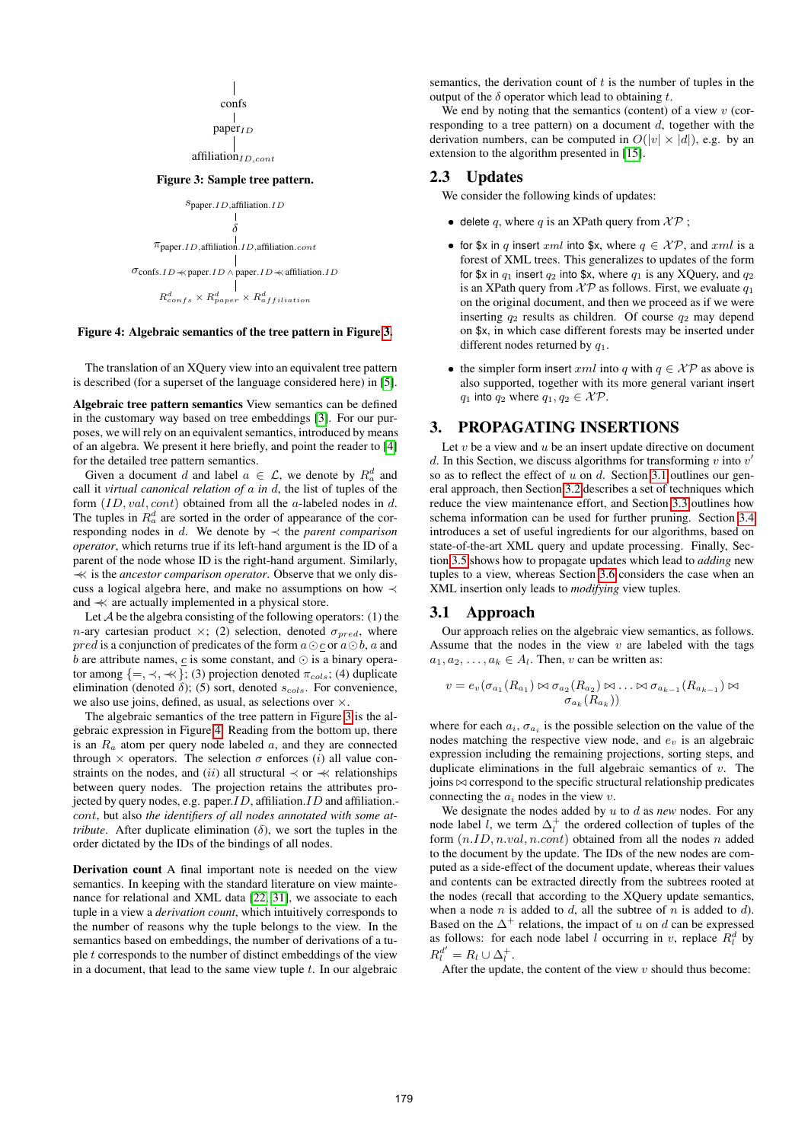$$
\begin{array}{c}\n\parallel \\
\text{confs} \\
\parallel \\
\text{paper}_{ID}\n\end{array}
$$

<span id="page-2-1"></span>affiliation<sub>ID,cont</sub>

# Figure 3: Sample tree pattern.

$$
\begin{array}{c}\n \multicolumn{3}{c}{\text{Spaper.} ID, \mbox{affiliation.} ID} \\\\ \multicolumn{2}{c}{\text{\hspace{-2ex}}{\delta}}\\\ \hline\n \end{array}
$$
\n
$$
\pi_{\mbox{paper.} ID, \mbox{affiliation.} CD} \\\ \text{
$$
\sigma_{\mbox{cons.} ID \prec \mbox{paper.} ID \land \mbox{paper.} ID \prec \mbox{affiliation.} ID} \\\ \text{
$$
\begin{array}{c}\n \multicolumn{2}{c}{\text{Cons.} ID \prec \mbox{paper.} ID \prec \mbox{affiliation.} ID} \\\ \multicolumn{2}{c}{\text{\hspace{-2ex}}{\cal R}_{confs}^d \prec R_{agfiliation}^d} \end{array}
$$
$$
$$

<span id="page-2-2"></span>Figure 4: Algebraic semantics of the tree pattern in Figure [3.](#page-2-1)

The translation of an XQuery view into an equivalent tree pattern is described (for a superset of the language considered here) in [\[5\]](#page-11-21).

Algebraic tree pattern semantics View semantics can be defined in the customary way based on tree embeddings [\[3\]](#page-10-1). For our purposes, we will rely on an equivalent semantics, introduced by means of an algebra. We present it here briefly, and point the reader to [\[4\]](#page-11-22) for the detailed tree pattern semantics.

Given a document d and label  $a \in \mathcal{L}$ , we denote by  $R_a^d$  and call it *virtual canonical relation of* a *in* d, the list of tuples of the form  $(ID, val, cont)$  obtained from all the a-labeled nodes in d. The tuples in  $R_a^d$  are sorted in the order of appearance of the corresponding nodes in  $d$ . We denote by  $\prec$  the *parent comparison operator*, which returns true if its left-hand argument is the ID of a parent of the node whose ID is the right-hand argument. Similarly, ≺≺ is the *ancestor comparison operator*. Observe that we only discuss a logical algebra here, and make no assumptions on how ≺ and ≺≺ are actually implemented in a physical store.

Let  $A$  be the algebra consisting of the following operators: (1) the n-ary cartesian product  $\times$ ; (2) selection, denoted  $\sigma_{pred}$ , where *pred* is a conjunction of predicates of the form  $a \odot c$  or  $a \odot b$ , a and b are attribute names, c is some constant, and  $\odot$  is a binary operator among  $\{=\,\prec,\,\prec\,\}$ ; (3) projection denoted  $\pi_{\text{cols}}$ ; (4) duplicate elimination (denoted  $\delta$ ); (5) sort, denoted  $s_{cols}$ . For convenience, we also use joins, defined, as usual, as selections over  $\times$ .

The algebraic semantics of the tree pattern in Figure [3](#page-2-1) is the algebraic expression in Figure [4.](#page-2-2) Reading from the bottom up, there is an  $R_a$  atom per query node labeled  $a$ , and they are connected through  $\times$  operators. The selection  $\sigma$  enforces (i) all value constraints on the nodes, and (ii) all structural  $\prec$  or  $\prec$  relationships between query nodes. The projection retains the attributes projected by query nodes, e.g. paper.  $ID$ , affiliation. ID and affiliation. cont, but also *the identifiers of all nodes annotated with some attribute*. After duplicate elimination  $(\delta)$ , we sort the tuples in the order dictated by the IDs of the bindings of all nodes.

Derivation count A final important note is needed on the view semantics. In keeping with the standard literature on view maintenance for relational and XML data [\[22,](#page-11-23) [31\]](#page-11-15), we associate to each tuple in a view a *derivation count*, which intuitively corresponds to the number of reasons why the tuple belongs to the view. In the semantics based on embeddings, the number of derivations of a tuple  $t$  corresponds to the number of distinct embeddings of the view in a document, that lead to the same view tuple  $t$ . In our algebraic

semantics, the derivation count of  $t$  is the number of tuples in the output of the  $\delta$  operator which lead to obtaining t.

We end by noting that the semantics (content) of a view  $v$  (corresponding to a tree pattern) on a document  $d$ , together with the derivation numbers, can be computed in  $O(|v| \times |d|)$ , e.g. by an extension to the algorithm presented in [\[15\]](#page-11-24).

#### 2.3 Updates

We consider the following kinds of updates:

- delete q, where q is an XPath query from  $\mathcal{X} \mathcal{P}$ ;
- for \$x in q insert xml into \$x, where  $q \in \mathcal{XP}$ , and xml is a forest of XML trees. This generalizes to updates of the form for \$x in  $q_1$  insert  $q_2$  into \$x, where  $q_1$  is any XQuery, and  $q_2$ is an XPath query from  $\mathcal{XP}$  as follows. First, we evaluate  $q_1$ on the original document, and then we proceed as if we were inserting  $q_2$  results as children. Of course  $q_2$  may depend on \$x, in which case different forests may be inserted under different nodes returned by  $q_1$ .
- the simpler form insert xml into q with  $q \in \mathcal{XP}$  as above is also supported, together with its more general variant insert  $q_1$  into  $q_2$  where  $q_1, q_2 \in \mathcal{XP}$ .

# <span id="page-2-0"></span>3. PROPAGATING INSERTIONS

Let  $v$  be a view and  $u$  be an insert update directive on document d. In this Section, we discuss algorithms for transforming  $v$  into  $v'$ so as to reflect the effect of  $u$  on  $d$ . Section [3.1](#page-2-3) outlines our general approach, then Section [3.2](#page-3-0) describes a set of techniques which reduce the view maintenance effort, and Section [3.3](#page-4-0) outlines how schema information can be used for further pruning. Section [3.4](#page-4-1) introduces a set of useful ingredients for our algorithms, based on state-of-the-art XML query and update processing. Finally, Section [3.5](#page-5-0) shows how to propagate updates which lead to *adding* new tuples to a view, whereas Section [3.6](#page-6-0) considers the case when an XML insertion only leads to *modifying* view tuples.

#### <span id="page-2-3"></span>3.1 Approach

Our approach relies on the algebraic view semantics, as follows. Assume that the nodes in the view  $v$  are labeled with the tags  $a_1, a_2, \ldots, a_k \in A_l$ . Then, v can be written as:

$$
v = e_v(\sigma_{a_1}(R_{a_1}) \bowtie \sigma_{a_2}(R_{a_2}) \bowtie \ldots \bowtie \sigma_{a_{k-1}}(R_{a_{k-1}}) \bowtie \sigma_{a_k}(R_{a_k}))
$$

where for each  $a_i$ ,  $\sigma_{a_i}$  is the possible selection on the value of the nodes matching the respective view node, and  $e_v$  is an algebraic expression including the remaining projections, sorting steps, and duplicate eliminations in the full algebraic semantics of  $v$ . The  $\phi$  ioins  $\bowtie$  correspond to the specific structural relationship predicates connecting the  $a_i$  nodes in the view v.

We designate the nodes added by u to d as *new* nodes. For any node label l, we term  $\Delta_l^+$  the ordered collection of tuples of the form  $(n.ID, n.val, n.contrib)$  obtained from all the nodes n added to the document by the update. The IDs of the new nodes are computed as a side-effect of the document update, whereas their values and contents can be extracted directly from the subtrees rooted at the nodes (recall that according to the XQuery update semantics, when a node n is added to d, all the subtree of n is added to d). Based on the  $\Delta^+$  relations, the impact of u on d can be expressed as follows: for each node label *l* occurring in *v*, replace  $R_l^d$  by  $R_l^{d'} = R_l \cup \Delta_l^+.$ 

After the update, the content of the view  $v$  should thus become: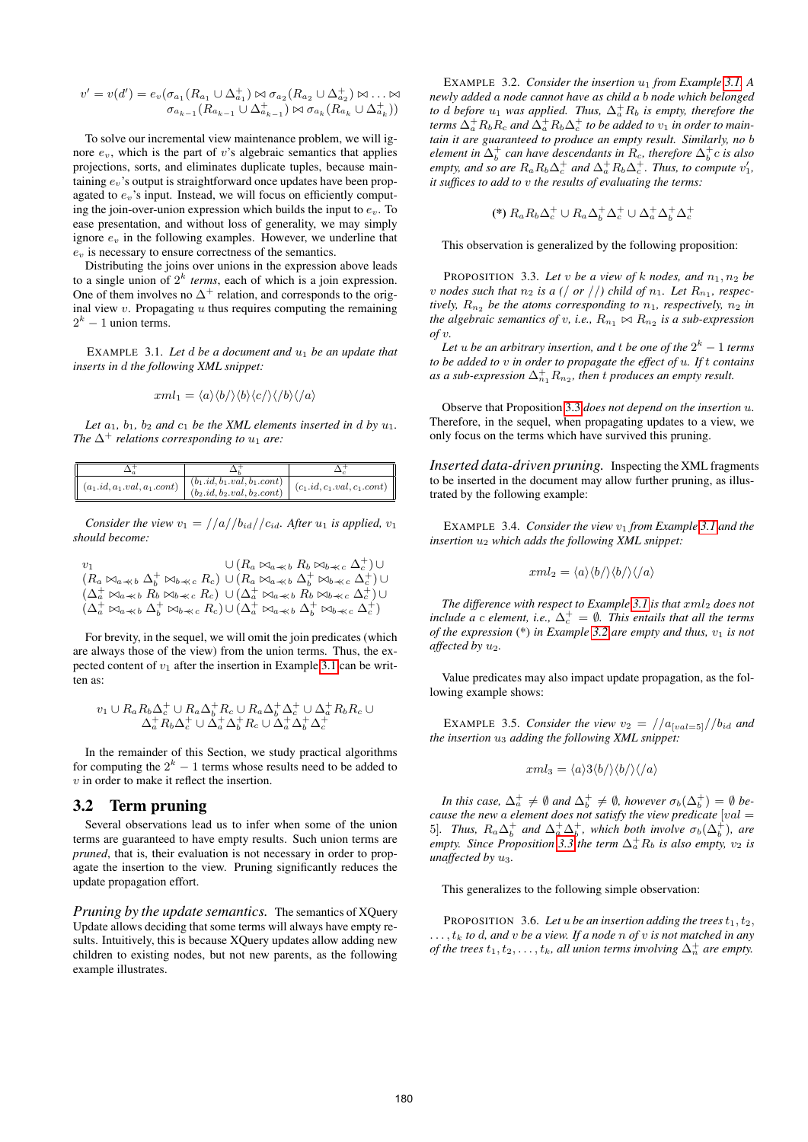$$
v' = v(d') = e_v(\sigma_{a_1}(R_{a_1} \cup \Delta_{a_1}^+) \bowtie \sigma_{a_2}(R_{a_2} \cup \Delta_{a_2}^+) \bowtie \ldots \bowtie
$$

$$
\sigma_{a_{k-1}}(R_{a_{k-1}} \cup \Delta_{a_{k-1}}^+) \bowtie \sigma_{a_k}(R_{a_k} \cup \Delta_{a_k}^+))
$$

To solve our incremental view maintenance problem, we will ignore  $e_v$ , which is the part of v's algebraic semantics that applies projections, sorts, and eliminates duplicate tuples, because maintaining  $e_y$ 's output is straightforward once updates have been propagated to  $e_v$ 's input. Instead, we will focus on efficiently computing the join-over-union expression which builds the input to  $e<sub>v</sub>$ . To ease presentation, and without loss of generality, we may simply ignore  $e<sub>v</sub>$  in the following examples. However, we underline that  $e<sub>v</sub>$  is necessary to ensure correctness of the semantics.

Distributing the joins over unions in the expression above leads to a single union of  $2^k$  *terms*, each of which is a join expression. One of them involves no  $\Delta^+$  relation, and corresponds to the original view  $v$ . Propagating  $u$  thus requires computing the remaining  $2^k - 1$  union terms.

<span id="page-3-1"></span>EXAMPLE 3.1. Let d be a document and  $u_1$  be an update that *inserts in* d *the following XML snippet:*

$$
xml_1 = \langle a \rangle \langle b \rangle \langle b \rangle \langle c \rangle \langle b \rangle \langle a \rangle
$$

Let  $a_1$ ,  $b_1$ ,  $b_2$  and  $c_1$  be the XML elements inserted in d by  $u_1$ . *The*  $\Delta^+$  *relations corresponding to*  $u_1$  *are:* 

|  | $\vert (a_1.id, a_1.val, a_1.contrib)$ | $(b_1.id, b_1.val, b_1.contrib)$<br>$(b_2.id, b_2.val, b_2.contrib)$ | $(c_1.id, c_1.val, c_1.contrib)$ |
|--|----------------------------------------|----------------------------------------------------------------------|----------------------------------|

*Consider the view*  $v_1 = \frac{1}{a}/\frac{b_{id}}{c_{id}}$ *. After*  $u_1$  *is applied,*  $v_1$ *should become:*

$$
v_1 \cup (R_a \bowtie_{a \ll b} R_b \bowtie_{b \ll c} \Delta_c^+) \cup (R_a \bowtie_{a \ll b} \Delta_b^+ \bowtie_{b \ll c} R_c) \cup (R_a \bowtie_{a \ll b} \Delta_b^+ \bowtie_{b \ll c} \Delta_c^+) \cup (\Delta_a^+ \bowtie_{a \ll b} R_b \bowtie_{b \ll c} R_c) \cup (\Delta_a^+ \bowtie_{a \ll b} R_b \bowtie_{b \ll c} \Delta_c^+) \cup (\Delta_a^+ \bowtie_{a \ll b} \Delta_b^+ \bowtie_{b \ll c} R_c) \cup (\Delta_a^+ \bowtie_{a \ll b} \Delta_b^+ \bowtie_{b \ll c} \Delta_c^+)
$$

For brevity, in the sequel, we will omit the join predicates (which are always those of the view) from the union terms. Thus, the expected content of  $v_1$  after the insertion in Example [3.1](#page-3-1) can be written as:

$$
v_1 \cup R_a R_b \Delta_c^+ \cup R_a \Delta_b^+ R_c \cup R_a \Delta_b^+ \Delta_c^+ \cup \Delta_a^+ R_b R_c \cup \Delta_a^+ R_b \Delta_c^+ \cup \Delta_a^+ \Delta_b^+ R_c \cup \Delta_a^+ \Delta_b^+ \Delta_c^+
$$

In the remainder of this Section, we study practical algorithms for computing the  $2^k - 1$  terms whose results need to be added to v in order to make it reflect the insertion.

# <span id="page-3-0"></span>3.2 Term pruning

Several observations lead us to infer when some of the union terms are guaranteed to have empty results. Such union terms are *pruned*, that is, their evaluation is not necessary in order to propagate the insertion to the view. Pruning significantly reduces the update propagation effort.

<span id="page-3-3"></span>*Pruning by the update semantics.* The semantics of XQuery Update allows deciding that some terms will always have empty results. Intuitively, this is because XQuery updates allow adding new children to existing nodes, but not new parents, as the following example illustrates.

EXAMPLE 3.2. *Consider the insertion*  $u_1$  *from Example* [3.1.](#page-3-1) *A newly added* a *node cannot have as child a* b *node which belonged to* d *before*  $u_1$  *was applied. Thus,*  $\Delta_a^+ R_b$  *is empty, therefore the*  $t$ erms  $\Delta^+_aR_bR_c$  and  $\Delta^+_aR_b\Delta^+_c$  to be added to  $v_1$  in order to main*tain it are guaranteed to produce an empty result. Similarly, no* b *element in*  $\Delta_b^+$  can have descendants in  $R_c$ , therefore  $\Delta_b^+ c$  is also *empty, and so are*  $R_a R_b \Delta_c^+$  *and*  $\Delta_a^+ R_b \Delta_c^+$ *. Thus, to compute*  $v'_1$ *, it suffices to add to* v *the results of evaluating the terms:*

$$
(*) R_a R_b \Delta_c^+ \cup R_a \Delta_b^+ \Delta_c^+ \cup \Delta_a^+ \Delta_b^+ \Delta_c^+
$$

<span id="page-3-2"></span>This observation is generalized by the following proposition:

PROPOSITION 3.3. Let *v* be a view of k nodes, and  $n_1, n_2$  be  $v$  nodes such that  $n_2$  is a ( $/$  or  $/$  $/$ ) child of  $n_1$ . Let  $R_{n_1}$ , respec*tively,*  $R_{n_2}$  *be the atoms corresponding to*  $n_1$ *, respectively,*  $n_2$  *in the algebraic semantics of v, i.e.,*  $R_{n_1} \bowtie R_{n_2}$  *is a sub-expression of* v*.*

Let  $u$  be an arbitrary insertion, and  $t$  be one of the  $2^k - 1$  terms *to be added to* v *in order to propagate the effect of* u*. If* t *contains* as a sub-expression  $\Delta_{n_1}^+R_{n_2}$ , then  $t$  produces an empty result.

Observe that Proposition [3.3](#page-3-2) *does not depend on the insertion* u. Therefore, in the sequel, when propagating updates to a view, we only focus on the terms which have survived this pruning.

*Inserted data-driven pruning.* Inspecting the XML fragments to be inserted in the document may allow further pruning, as illustrated by the following example:

EXAMPLE 3.4. *Consider the view*  $v_1$  *from Example* [3.1](#page-3-1) *and the insertion* u<sup>2</sup> *which adds the following XML snippet:*

$$
xml_2 = \langle a \rangle \langle b / \rangle \langle b / \rangle \langle / \langle a \rangle
$$

*The difference with respect to Example* [3.1](#page-3-1) *is that*  $xm_2$  *does not include a c element, i.e.,*  $\Delta_c^+ = \emptyset$ *. This entails that all the terms of the expression* (\*) *in Example* [3.2](#page-3-3) *are empty and thus,*  $v_1$  *is not affected by* u2*.*

Value predicates may also impact update propagation, as the following example shows:

EXAMPLE 3.5. *Consider the view*  $v_2 = \frac{1}{a_{\text{[val=5]}}}/b_{id}$  and *the insertion* u<sup>3</sup> *adding the following XML snippet:*

$$
cml_3 = \langle a \rangle 3 \langle b / \rangle \langle b / \rangle \langle / \langle a \rangle
$$

*In this case,*  $\Delta_a^+ \neq \emptyset$  *and*  $\Delta_b^+ \neq \emptyset$ *, however*  $\sigma_b(\Delta_b^+) = \emptyset$  *because the new* a *element does not satisfy the view predicate* [val = 5]. Thus,  $R_a \Delta_b^+$  and  $\Delta_a^+ \Delta_b^+$ , which both involve  $\sigma_b(\Delta_b^+)$ , are *empty. Since Proposition* [3.3](#page-3-2) *the term*  $\Delta_a^+ R_b$  *is also empty,*  $v_2$  *is unaffected by* u3*.*

<span id="page-3-4"></span>This generalizes to the following simple observation:

PROPOSITION 3.6. Let u be an insertion adding the trees  $t_1, t_2$ , . . . , t<sup>k</sup> *to* d*, and* v *be a view. If a node* n *of* v *is not matched in any of the trees*  $t_1, t_2, \ldots, t_k$ , all union terms involving  $\Delta_n^+$  are empty.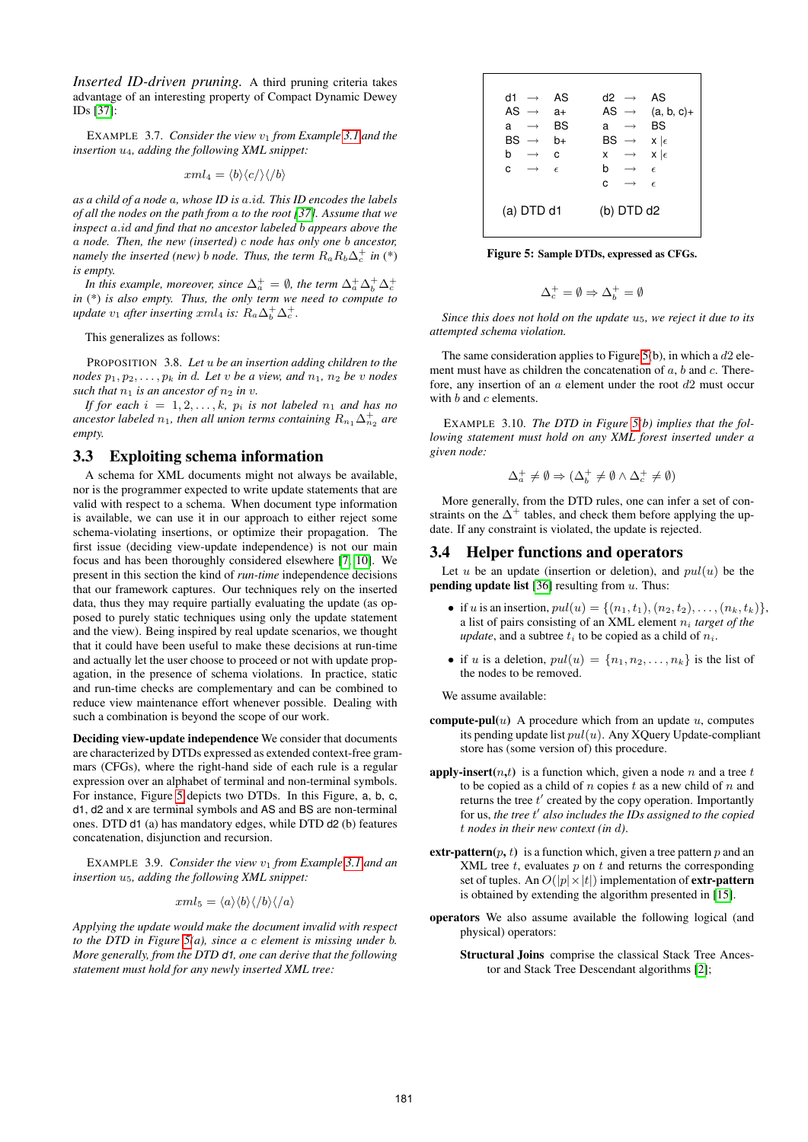*Inserted ID-driven pruning.* A third pruning criteria takes advantage of an interesting property of Compact Dynamic Dewey IDs [\[37\]](#page-11-17):

EXAMPLE 3.7. *Consider the view*  $v_1$  *from Example* [3.1](#page-3-1) *and the insertion* u4*, adding the following XML snippet:*

$$
xml_4 = \langle b \rangle \langle c / \rangle \langle / b \rangle
$$

*as a child of a node* a*, whose ID is* a.id*. This ID encodes the labels of all the nodes on the path from* a *to the root [\[37\]](#page-11-17). Assume that we inspect* a.id *and find that no ancestor labeled* b *appears above the* a *node. Then, the new (inserted)* c *node has only one* b *ancestor, namely the inserted (new) b node. Thus, the term*  $R_a R_b \Delta_c^+$  *in (\*) is empty.*

*In this example, moreover, since*  $\Delta_a^+ = \emptyset$ *, the term*  $\Delta_a^+ \Delta_b^+ \Delta_c^+$ *in* (\*) *is also empty. Thus, the only term we need to compute to update*  $v_1$  *after inserting xml<sub>4</sub> is:*  $R_a \Delta_b^+ \Delta_c^+$ .

This generalizes as follows:

<span id="page-4-3"></span>PROPOSITION 3.8. *Let* u *be an insertion adding children to the nodes*  $p_1, p_2, \ldots, p_k$  *in d. Let v be a view, and*  $n_1, n_2$  *be v nodes such that*  $n_1$  *is an ancestor of*  $n_2$  *in v*.

*If for each*  $i = 1, 2, \ldots, k$ ,  $p_i$  *is not labeled*  $n_1$  *and has no* ancestor labeled  $n_1$ , then all union terms containing  $R_{n_1}\Delta_{n_2}^+$  are *empty.*

## <span id="page-4-0"></span>3.3 Exploiting schema information

A schema for XML documents might not always be available, nor is the programmer expected to write update statements that are valid with respect to a schema. When document type information is available, we can use it in our approach to either reject some schema-violating insertions, or optimize their propagation. The first issue (deciding view-update independence) is not our main focus and has been thoroughly considered elsewhere [\[7,](#page-11-25) [10\]](#page-11-26). We present in this section the kind of *run-time* independence decisions that our framework captures. Our techniques rely on the inserted data, thus they may require partially evaluating the update (as opposed to purely static techniques using only the update statement and the view). Being inspired by real update scenarios, we thought that it could have been useful to make these decisions at run-time and actually let the user choose to proceed or not with update propagation, in the presence of schema violations. In practice, static and run-time checks are complementary and can be combined to reduce view maintenance effort whenever possible. Dealing with such a combination is beyond the scope of our work.

Deciding view-update independence We consider that documents are characterized by DTDs expressed as extended context-free grammars (CFGs), where the right-hand side of each rule is a regular expression over an alphabet of terminal and non-terminal symbols. For instance, Figure [5](#page-4-2) depicts two DTDs. In this Figure, a, b, c, d1, d2 and x are terminal symbols and AS and BS are non-terminal ones. DTD d1 (a) has mandatory edges, while DTD d2 (b) features concatenation, disjunction and recursion.

EXAMPLE 3.9. *Consider the view*  $v_1$  *from Example* [3.1](#page-3-1) *and an insertion* u5*, adding the following XML snippet:*

$$
xml_5 = \langle a \rangle \langle b \rangle \langle /b \rangle \langle /a \rangle
$$

*Applying the update would make the document invalid with respect to the DTD in Figure [5\(](#page-4-2)a), since a* c *element is missing under* b*. More generally, from the DTD d1, one can derive that the following statement must hold for any newly inserted XML tree:*

| $d1 \rightarrow$<br>AS $\rightarrow$<br>a<br>BS<br>$\longrightarrow$<br>b<br>$\longrightarrow$<br>C | AS<br>$a+$<br>BS<br>b+<br>C<br>$\epsilon$ | d2<br>$\longrightarrow$<br>AS $\rightarrow$<br>a<br>$\longrightarrow$<br>BS<br>$\longrightarrow$<br>x<br>$\longrightarrow$<br>b<br>$\longrightarrow$ | AS<br>$(a, b, c) +$<br>BS<br>$x \mid \epsilon$<br>$x \mid \epsilon$<br>$\epsilon$ |
|-----------------------------------------------------------------------------------------------------|-------------------------------------------|------------------------------------------------------------------------------------------------------------------------------------------------------|-----------------------------------------------------------------------------------|
|                                                                                                     |                                           | c                                                                                                                                                    | $\epsilon$                                                                        |
| $(a)$ DTD $d1$                                                                                      |                                           | $(b)$ DTD $d2$                                                                                                                                       |                                                                                   |

Figure 5: Sample DTDs, expressed as CFGs.

<span id="page-4-2"></span>
$$
\Delta_c^+=\emptyset\Rightarrow\Delta_b^+=\emptyset
$$

*Since this does not hold on the update* u5*, we reject it due to its attempted schema violation.*

The same consideration applies to Figure [5\(](#page-4-2)b), in which a  $d2$  element must have as children the concatenation of  $a, b$  and  $c$ . Therefore, any insertion of an  $a$  element under the root  $d2$  must occur with  $b$  and  $c$  elements.

EXAMPLE 3.10. *The DTD in Figure [5\(](#page-4-2)b) implies that the following statement must hold on any XML forest inserted under a given node:*

$$
\Delta^+_a \neq \emptyset \Rightarrow (\Delta^+_b \neq \emptyset \wedge \Delta^+_c \neq \emptyset)
$$

More generally, from the DTD rules, one can infer a set of constraints on the  $\Delta^+$  tables, and check them before applying the update. If any constraint is violated, the update is rejected.

#### <span id="page-4-1"></span>3.4 Helper functions and operators

Let  $u$  be an update (insertion or deletion), and  $pul(u)$  be the **pending update list** [\[36\]](#page-11-6) resulting from  $u$ . Thus:

- if u is an insertion,  $pul(u) = \{(n_1, t_1), (n_2, t_2), \ldots, (n_k, t_k)\},\$ a list of pairs consisting of an XML element  $n_i$  target of the *update*, and a subtree  $t_i$  to be copied as a child of  $n_i$ .
- if u is a deletion,  $pul(u) = \{n_1, n_2, \ldots, n_k\}$  is the list of the nodes to be removed.

We assume available:

- **compute-pul** $(u)$  A procedure which from an update u, computes its pending update list  $pul(u)$ . Any XQuery Update-compliant store has (some version of) this procedure.
- **apply-insert** $(n,t)$  is a function which, given a node n and a tree t to be copied as a child of  $n$  copies  $t$  as a new child of  $n$  and returns the tree  $t'$  created by the copy operation. Importantly for us, the tree t' also includes the IDs assigned to the copied t *nodes in their new context (in* d*)*.
- **extr-pattern** $(p, t)$  is a function which, given a tree pattern p and an XML tree  $t$ , evaluates  $p$  on  $t$  and returns the corresponding set of tuples. An  $O(|p| \times |t|)$  implementation of **extr-pattern** is obtained by extending the algorithm presented in [\[15\]](#page-11-24).
- operators We also assume available the following logical (and physical) operators:
	- Structural Joins comprise the classical Stack Tree Ancestor and Stack Tree Descendant algorithms [\[2\]](#page-10-2);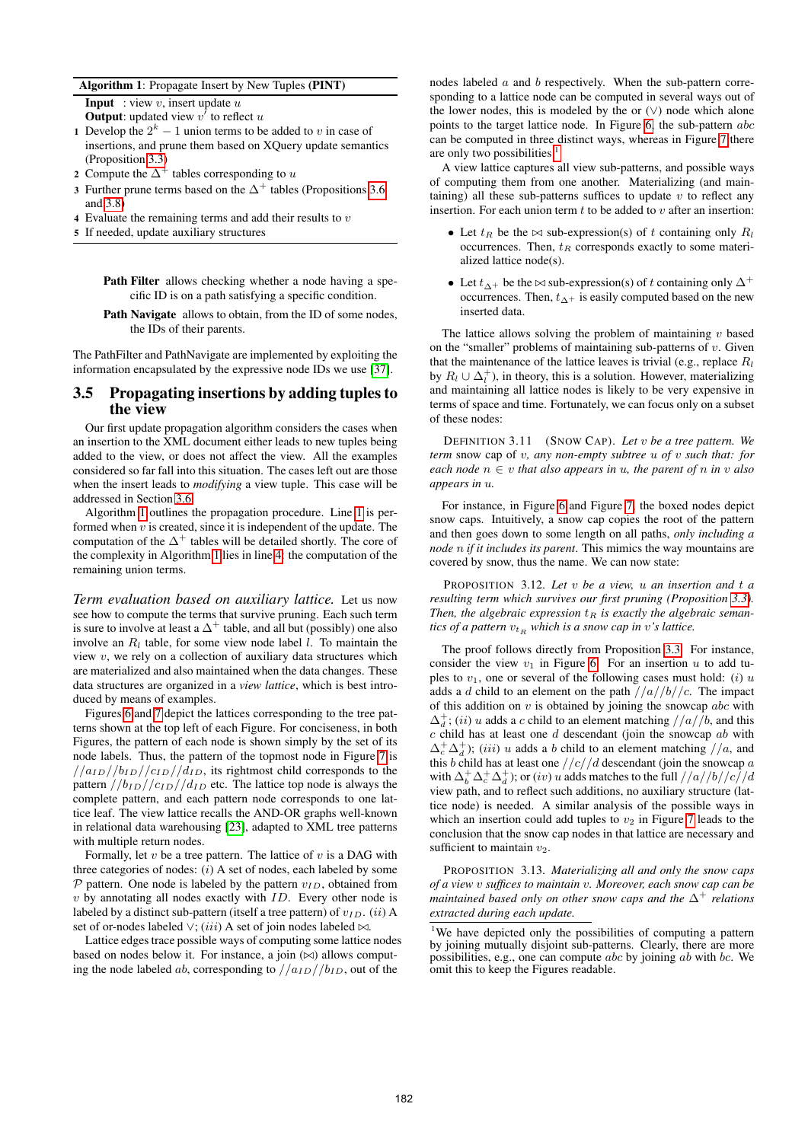#### Algorithm 1: Propagate Insert by New Tuples (PINT)

<span id="page-5-1"></span>**Input** : view  $v$ , insert update  $u$ 

<span id="page-5-2"></span>**Output:** updated view  $v^{\dagger}$  to reflect u

- 1 Develop the  $2^k 1$  union terms to be added to v in case of insertions, and prune them based on XQuery update semantics (Proposition [3.3\)](#page-3-2)
- 2 Compute the  $\Delta^+$  tables corresponding to u
- 3 Further prune terms based on the  $\Delta^+$  tables (Propositions [3.6](#page-3-4) and [3.8\)](#page-4-3)
- <span id="page-5-3"></span>4 Evaluate the remaining terms and add their results to  $v$
- 5 If needed, update auxiliary structures

Path Filter allows checking whether a node having a specific ID is on a path satisfying a specific condition.

Path Navigate allows to obtain, from the ID of some nodes, the IDs of their parents.

The PathFilter and PathNavigate are implemented by exploiting the information encapsulated by the expressive node IDs we use [\[37\]](#page-11-17).

#### <span id="page-5-0"></span>3.5 Propagating insertions by adding tuples to the view

Our first update propagation algorithm considers the cases when an insertion to the XML document either leads to new tuples being added to the view, or does not affect the view. All the examples considered so far fall into this situation. The cases left out are those when the insert leads to *modifying* a view tuple. This case will be addressed in Section [3.6.](#page-6-0)

Algorithm [1](#page-5-1) outlines the propagation procedure. Line [1](#page-5-2) is performed when  $v$  is created, since it is independent of the update. The computation of the  $\Delta^+$  tables will be detailed shortly. The core of the complexity in Algorithm [1](#page-5-1) lies in line [4:](#page-5-3) the computation of the remaining union terms.

*Term evaluation based on auxiliary lattice.* Let us now see how to compute the terms that survive pruning. Each such term is sure to involve at least a  $\Delta^+$  table, and all but (possibly) one also involve an  $R_l$  table, for some view node label l. To maintain the view  $v$ , we rely on a collection of auxiliary data structures which are materialized and also maintained when the data changes. These data structures are organized in a *view lattice*, which is best introduced by means of examples.

Figures [6](#page-6-1) and [7](#page-6-2) depict the lattices corresponding to the tree patterns shown at the top left of each Figure. For conciseness, in both Figures, the pattern of each node is shown simply by the set of its node labels. Thus, the pattern of the topmost node in Figure [7](#page-6-2) is  $1/(a_{ID})/b_{ID}/c_{ID}/d_{ID}$ , its rightmost child corresponds to the pattern  $//b_{ID}//c_{ID}//d_{ID}$  etc. The lattice top node is always the complete pattern, and each pattern node corresponds to one lattice leaf. The view lattice recalls the AND-OR graphs well-known in relational data warehousing [\[23\]](#page-11-27), adapted to XML tree patterns with multiple return nodes.

Formally, let  $v$  be a tree pattern. The lattice of  $v$  is a DAG with three categories of nodes:  $(i)$  A set of nodes, each labeled by some  $P$  pattern. One node is labeled by the pattern  $v_{ID}$ , obtained from  $v$  by annotating all nodes exactly with  $ID$ . Every other node is labeled by a distinct sub-pattern (itself a tree pattern) of  $v_{ID}$ . (ii) A set of or-nodes labeled  $\vee$ ; (iii) A set of join nodes labeled  $\bowtie$ .

Lattice edges trace possible ways of computing some lattice nodes based on nodes below it. For instance, a join  $(\bowtie)$  allows computing the node labeled ab, corresponding to  $//a_{ID}//b_{ID}$ , out of the

nodes labeled a and b respectively. When the sub-pattern corresponding to a lattice node can be computed in several ways out of the lower nodes, this is modeled by the or  $(\vee)$  node which alone points to the target lattice node. In Figure [6,](#page-6-1) the sub-pattern abc can be computed in three distinct ways, whereas in Figure [7](#page-6-2) there are only two possibilities  $<sup>1</sup>$  $<sup>1</sup>$  $<sup>1</sup>$ </sup>

A view lattice captures all view sub-patterns, and possible ways of computing them from one another. Materializing (and maintaining) all these sub-patterns suffices to update  $v$  to reflect any insertion. For each union term  $t$  to be added to  $v$  after an insertion:

- Let  $t_R$  be the  $\bowtie$  sub-expression(s) of t containing only  $R_l$ occurrences. Then,  $t_R$  corresponds exactly to some materialized lattice node(s).
- Let  $t_{\Delta+}$  be the  $\bowtie$  sub-expression(s) of t containing only  $\Delta^+$ occurrences. Then,  $t_{\Delta+}$  is easily computed based on the new inserted data.

The lattice allows solving the problem of maintaining  $v$  based on the "smaller" problems of maintaining sub-patterns of  $v$ . Given that the maintenance of the lattice leaves is trivial (e.g., replace  $R_l$ ) by  $R_l \cup \Delta_l^+$ ), in theory, this is a solution. However, materializing and maintaining all lattice nodes is likely to be very expensive in terms of space and time. Fortunately, we can focus only on a subset of these nodes:

DEFINITION 3.11 (SNOW CAP). *Let* v *be a tree pattern. We term* snow cap of v*, any non-empty subtree* u *of* v *such that: for each node*  $n \in v$  *that also appears in u, the parent of n in v also appears in* u*.*

For instance, in Figure [6](#page-6-1) and Figure [7,](#page-6-2) the boxed nodes depict snow caps. Intuitively, a snow cap copies the root of the pattern and then goes down to some length on all paths, *only including a node* n *if it includes its parent*. This mimics the way mountains are covered by snow, thus the name. We can now state:

PROPOSITION 3.12. *Let* v *be a view,* u *an insertion and* t *a resulting term which survives our first pruning (Proposition [3.3\)](#page-3-2).* Then, the algebraic expression  $t_R$  is exactly the algebraic seman*tics of a pattern*  $v_{tR}$  *which is a snow cap in* v's lattice.

The proof follows directly from Proposition [3.3.](#page-3-2) For instance, consider the view  $v_1$  in Figure [6.](#page-6-1) For an insertion u to add tuples to  $v_1$ , one or several of the following cases must hold: (i) u adds a d child to an element on the path  $//a//b//c$ . The impact of this addition on  $v$  is obtained by joining the snowcap  $abc$  with  $\Delta_d^+$ ; (*ii*) u adds a c child to an element matching  $//a//b$ , and this  $c$  child has at least one  $d$  descendant (join the snowcap  $ab$  with  $\Delta_c^+ \Delta_d^+$ ); (*iii*) u adds a b child to an element matching  $//a$ , and this b child has at least one  $//c//d$  descendant (join the snowcap  $a$ with  $\Delta_b^+ \Delta_c^+ \Delta_d^+$ ); or  $(iv)$  u adds matches to the full  $//a//b//c//d$ view path, and to reflect such additions, no auxiliary structure (lattice node) is needed. A similar analysis of the possible ways in which an insertion could add tuples to  $v_2$  in Figure [7](#page-6-2) leads to the conclusion that the snow cap nodes in that lattice are necessary and sufficient to maintain  $v_2$ .

PROPOSITION 3.13. *Materializing all and only the snow caps of a view* v *suffices to maintain* v*. Moreover, each snow cap can be maintained based only on other snow caps and the* ∆<sup>+</sup> *relations extracted during each update.*

<span id="page-5-4"></span><sup>1</sup>We have depicted only the possibilities of computing a pattern by joining mutually disjoint sub-patterns. Clearly, there are more possibilities, e.g., one can compute abc by joining ab with bc. We omit this to keep the Figures readable.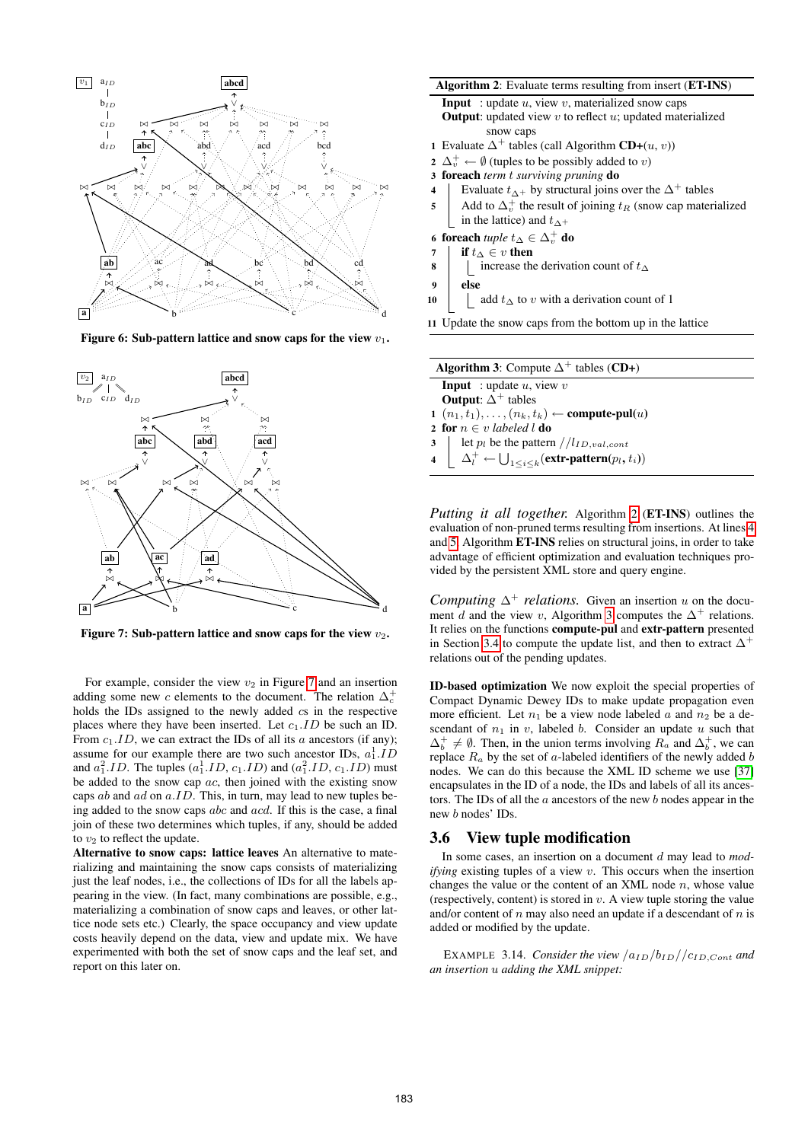

<span id="page-6-1"></span>Figure 6: Sub-pattern lattice and snow caps for the view  $v_1$ .



<span id="page-6-2"></span>Figure 7: Sub-pattern lattice and snow caps for the view  $v_2$ .

For example, consider the view  $v_2$  in Figure [7](#page-6-2) and an insertion adding some new c elements to the document. The relation  $\Delta_c^+$ holds the IDs assigned to the newly added cs in the respective places where they have been inserted. Let  $c_1.ID$  be such an ID. From  $c_1.ID$ , we can extract the IDs of all its a ancestors (if any); assume for our example there are two such ancestor IDs,  $a_1^1$ .*ID* and  $a_1^2.ID$ . The tuples  $(a_1^1.ID, c_1.ID)$  and  $(a_1^2.ID, c_1.ID)$  must be added to the snow cap  $ac$ , then joined with the existing snow caps  $ab$  and  $ad$  on  $a.ID$ . This, in turn, may lead to new tuples being added to the snow caps abc and acd. If this is the case, a final join of these two determines which tuples, if any, should be added to  $v_2$  to reflect the update.

Alternative to snow caps: lattice leaves An alternative to materializing and maintaining the snow caps consists of materializing just the leaf nodes, i.e., the collections of IDs for all the labels appearing in the view. (In fact, many combinations are possible, e.g., materializing a combination of snow caps and leaves, or other lattice node sets etc.) Clearly, the space occupancy and view update costs heavily depend on the data, view and update mix. We have experimented with both the set of snow caps and the leaf set, and report on this later on.

#### <span id="page-6-3"></span>Algorithm 2: Evaluate terms resulting from insert (ET-INS)

**Input** : update  $u$ , view  $v$ , materialized snow caps

- **Output:** updated view  $v$  to reflect  $u$ ; updated materialized snow caps
- 1 Evaluate  $\Delta^+$  tables (call Algorithm CD+(u, v))
- $\mathbf{2} \Delta_v^+ \leftarrow \emptyset$  (tuples to be possibly added to v)
- 3 foreach *term* t *surviving pruning* do
- <span id="page-6-4"></span>4 Fvaluate  $t_{\Delta^+}$  by structural joins over the  $\Delta^+$  tables
- <span id="page-6-5"></span>5 Add to  $\Delta_v^+$  the result of joining  $t_R$  (snow cap materialized in the lattice) and  $t_{\Delta+}$

6 foreach *tuple*  $t_∆ ∈ ∆_ν^+$  do

- 7 | if  $t\Delta \in v$  then
- 8 | increase the derivation count of  $t$ ∆
- $9$  else
- 10 | add  $t$ ∆ to v with a derivation count of 1

11 Update the snow caps from the bottom up in the lattice

<span id="page-6-6"></span>

| <b>Algorithm 3:</b> Compute $\Delta^+$ tables (CD+)                                 |  |
|-------------------------------------------------------------------------------------|--|
| <b>Input</b> : update $u$ , view $v$                                                |  |
| <b>Output:</b> $\Delta^+$ tables                                                    |  |
| 1 $(n_1, t_1), \ldots, (n_k, t_k) \leftarrow$ compute-pul( <i>u</i> )               |  |
| 2 for $n \in v$ labeled l do                                                        |  |
| 3   let $p_l$ be the pattern $//l_{ID, val, cont}$                                  |  |
| 4 $\Delta_l^+ \leftarrow \bigcup_{1 \leq i \leq k} (\text{extr-partern}(p_l, t_i))$ |  |
|                                                                                     |  |

*Putting it all together.* Algorithm [2](#page-6-3) (ET-INS) outlines the evaluation of non-pruned terms resulting from insertions. At lines [4](#page-6-4) and [5,](#page-6-5) Algorithm ET-INS relies on structural joins, in order to take advantage of efficient optimization and evaluation techniques provided by the persistent XML store and query engine.

*Computing*  $\Delta^+$  *relations.* Given an insertion u on the docu-ment d and the view v, Algorithm [3](#page-6-6) computes the  $\Delta^+$  relations. It relies on the functions compute-pul and extr-pattern presented in Section [3.4](#page-4-1) to compute the update list, and then to extract  $\Delta^+$ relations out of the pending updates.

ID-based optimization We now exploit the special properties of Compact Dynamic Dewey IDs to make update propagation even more efficient. Let  $n_1$  be a view node labeled a and  $n_2$  be a descendant of  $n_1$  in v, labeled b. Consider an update u such that  $\Delta_b^+ \neq \emptyset$ . Then, in the union terms involving  $R_a$  and  $\Delta_b^+$ , we can replace  $R_a$  by the set of a-labeled identifiers of the newly added b nodes. We can do this because the XML ID scheme we use [\[37\]](#page-11-17) encapsulates in the ID of a node, the IDs and labels of all its ancestors. The IDs of all the  $\alpha$  ancestors of the new  $\beta$  nodes appear in the new b nodes' IDs.

#### <span id="page-6-0"></span>3.6 View tuple modification

In some cases, an insertion on a document d may lead to *modifying* existing tuples of a view v. This occurs when the insertion changes the value or the content of an XML node  $n$ , whose value (respectively, content) is stored in  $v$ . A view tuple storing the value and/or content of  $n$  may also need an update if a descendant of  $n$  is added or modified by the update.

EXAMPLE 3.14. *Consider the view*  $a_{ID}/b_{ID}/c_{ID,Cont}$  *and an insertion* u *adding the XML snippet:*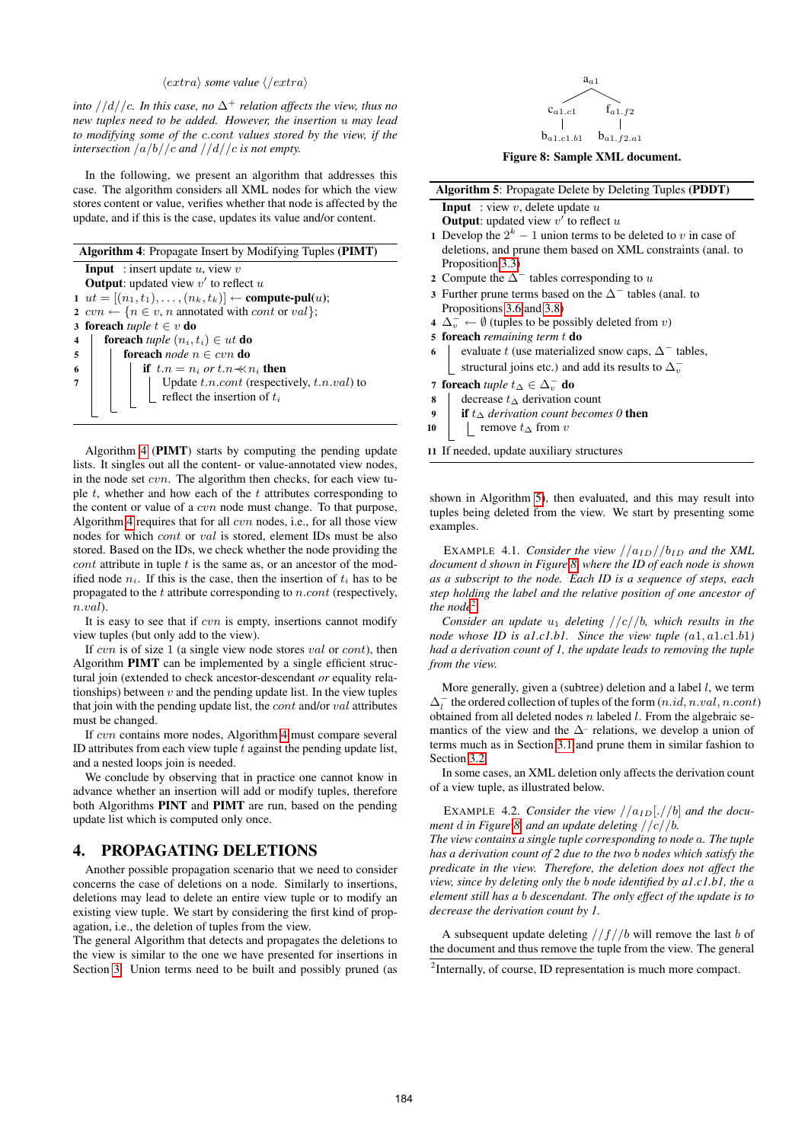#### $\langle extra \rangle$  *some value*  $\langle / extra \rangle$

*into*  $//d//c$ *. In this case, no*  $\Delta^+$  *relation affects the view, thus no new tuples need to be added. However, the insertion* u *may lead to modifying some of the* c.cont *values stored by the view, if the intersection* /a/b//c *and* //d//c *is not empty.*

In the following, we present an algorithm that addresses this case. The algorithm considers all XML nodes for which the view stores content or value, verifies whether that node is affected by the update, and if this is the case, updates its value and/or content.

<span id="page-7-1"></span>

|                         | <b>Algorithm 4:</b> Propagate Insert by Modifying Tuples (PIMT)                                      |                                                                                    |  |
|-------------------------|------------------------------------------------------------------------------------------------------|------------------------------------------------------------------------------------|--|
|                         | <b>Input</b> : insert update $u$ , view $v$                                                          |                                                                                    |  |
|                         | <b>Output:</b> updated view $v'$ to reflect u                                                        |                                                                                    |  |
|                         | 1 $ut = [(n_1, t_1), \ldots, (n_k, t_k)] \leftarrow$ compute-pul( <i>u</i> );                        |                                                                                    |  |
|                         | 2 $\text{cvn} \leftarrow \{n \in v, n \text{ annotated with } \text{cont} \text{ or } \text{val}\};$ |                                                                                    |  |
|                         | 3 foreach <i>tuple</i> $t \in v$ do                                                                  |                                                                                    |  |
| $\overline{\mathbf{4}}$ | <b>foreach</b> tuple $(n_i, t_i) \in ut$ <b>do</b>                                                   |                                                                                    |  |
|                         | $5 \mid$                                                                                             | foreach node $n \in cvn$ do                                                        |  |
| 6                       |                                                                                                      | if $t.n = n_i$ or $t.n \nless n_i$ then                                            |  |
| $\overline{7}$          |                                                                                                      | Update $t.n.cont$ (respectively, $t.n. val$ ) to<br>reflect the insertion of $t_i$ |  |
|                         |                                                                                                      |                                                                                    |  |
|                         |                                                                                                      |                                                                                    |  |
|                         |                                                                                                      |                                                                                    |  |

Algorithm [4](#page-7-1) (PIMT) starts by computing the pending update lists. It singles out all the content- or value-annotated view nodes, in the node set  $cvn$ . The algorithm then checks, for each view tuple  $t$ , whether and how each of the  $t$  attributes corresponding to the content or value of a cvn node must change. To that purpose, Algorithm [4](#page-7-1) requires that for all  $cvn$  nodes, i.e., for all those view nodes for which cont or val is stored, element IDs must be also stored. Based on the IDs, we check whether the node providing the  $\cot t$  attribute in tuple t is the same as, or an ancestor of the modified node  $n_i$ . If this is the case, then the insertion of  $t_i$  has to be propagated to the  $t$  attribute corresponding to  $n.count$  (respectively, n.val).

It is easy to see that if  $cvn$  is empty, insertions cannot modify view tuples (but only add to the view).

If  $cvn$  is of size 1 (a single view node stores  $val$  or  $cont$ ), then Algorithm PIMT can be implemented by a single efficient structural join (extended to check ancestor-descendant *or* equality relationships) between  $v$  and the pending update list. In the view tuples that join with the pending update list, the  $cont$  and/or  $val$  attributes must be changed.

If cvn contains more nodes, Algorithm [4](#page-7-1) must compare several ID attributes from each view tuple  $t$  against the pending update list, and a nested loops join is needed.

We conclude by observing that in practice one cannot know in advance whether an insertion will add or modify tuples, therefore both Algorithms PINT and PIMT are run, based on the pending update list which is computed only once.

## <span id="page-7-0"></span>4. PROPAGATING DELETIONS

Another possible propagation scenario that we need to consider concerns the case of deletions on a node. Similarly to insertions, deletions may lead to delete an entire view tuple or to modify an existing view tuple. We start by considering the first kind of propagation, i.e., the deletion of tuples from the view.

The general Algorithm that detects and propagates the deletions to the view is similar to the one we have presented for insertions in Section [3.](#page-2-0) Union terms need to be built and possibly pruned (as

<span id="page-7-3"></span>

Figure 8: Sample XML document.

<span id="page-7-2"></span>

| <b>Algorithm 5:</b> Propagate Delete by Deleting Tuples (PDDT)                 |  |  |
|--------------------------------------------------------------------------------|--|--|
| <b>Input</b> : view v, delete update u                                         |  |  |
| <b>Output:</b> updated view $v'$ to reflect $u$                                |  |  |
| 1 Develop the $2^k - 1$ union terms to be deleted to v in case of              |  |  |
| deletions, and prune them based on XML constraints (anal. to                   |  |  |
| Proposition 3.3)                                                               |  |  |
| 2 Compute the $\Delta^-$ tables corresponding to u                             |  |  |
| 3 Further prune terms based on the $\Delta^-$ tables (anal. to                 |  |  |
| Propositions 3.6 and 3.8)                                                      |  |  |
| $4 \Delta_{v}^{-} \leftarrow \emptyset$ (tuples to be possibly deleted from v) |  |  |
| 5 foreach remaining term t do                                                  |  |  |
| evaluate t (use materialized snow caps, $\Delta^-$ tables,<br>6                |  |  |
| structural joins etc.) and add its results to $\Delta_n^-$                     |  |  |
| 7 foreach <i>tuple</i> $t_{\Delta} \in \Delta_{n}^{-}$ do                      |  |  |
| decrease $t_{\Delta}$ derivation count<br>8                                    |  |  |
| <b>if</b> $t \wedge$ derivation count becomes 0 <b>then</b><br>9               |  |  |
| remove $t_{\Delta}$ from v<br>10                                               |  |  |
| 11 If needed, update auxiliary structures                                      |  |  |

shown in Algorithm [5\)](#page-7-2), then evaluated, and this may result into tuples being deleted from the view. We start by presenting some examples.

EXAMPLE 4.1. *Consider the view*  $//a_{ID}//b_{ID}$  *and the XML document* d *shown in Figure [8,](#page-7-3) where the ID of each node is shown as a subscript to the node. Each ID is a sequence of steps, each step holding the label and the relative position of one ancestor of* the node<sup>[2](#page-7-4)</sup>.

*Consider an update*  $u_1$  *deleting*  $//c//b$ *, which results in the node whose ID is a1.c1.b1. Since the view tuple (a1.a1.c1.b1) had a derivation count of 1, the update leads to removing the tuple from the view.*

More generally, given a (subtree) deletion and a label  $l$ , we term  $\Delta_l^-$  the ordered collection of tuples of the form  $(n.id, n.val, n.contrib)$ obtained from all deleted nodes  $n$  labeled  $l$ . From the algebraic semantics of the view and the  $\Delta$ - relations, we develop a union of terms much as in Section [3.1](#page-2-3) and prune them in similar fashion to Section [3.2.](#page-3-0)

In some cases, an XML deletion only affects the derivation count of a view tuple, as illustrated below.

EXAMPLE 4.2. *Consider the view*  $//a_{ID}[.//b]$  *and the document* d *in Figure [8,](#page-7-3) and an update deleting* //c//b*. The view contains a single tuple corresponding to node* a*. The tuple has a derivation count of 2 due to the two* b *nodes which satisfy the predicate in the view. Therefore, the deletion does not affect the view, since by deleting only the* b *node identified by a1.c1.b1, the* a *element still has a* b *descendant. The only effect of the update is to decrease the derivation count by 1.*

A subsequent update deleting  $//f//b$  will remove the last b of the document and thus remove the tuple from the view. The general

<span id="page-7-4"></span><sup>&</sup>lt;sup>2</sup>Internally, of course, ID representation is much more compact.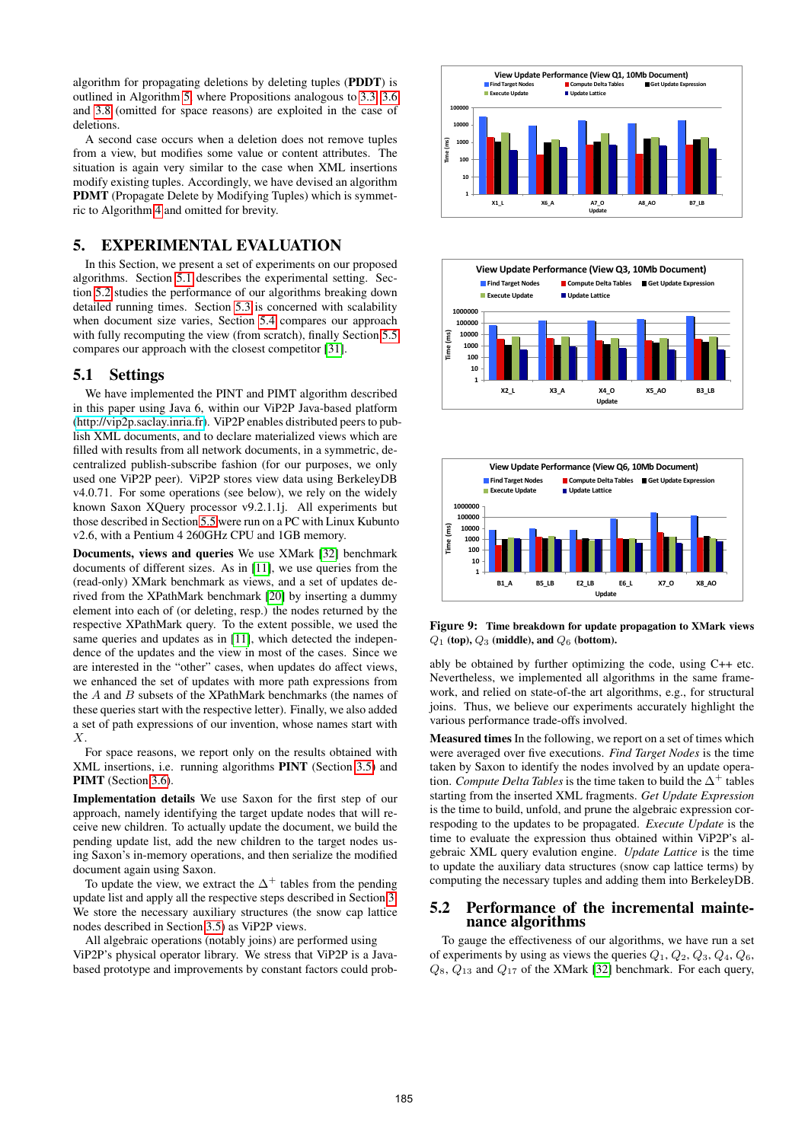algorithm for propagating deletions by deleting tuples (PDDT) is outlined in Algorithm [5,](#page-7-2) where Propositions analogous to [3.3,](#page-3-2) [3.6](#page-3-4) and [3.8](#page-4-3) (omitted for space reasons) are exploited in the case of deletions.

A second case occurs when a deletion does not remove tuples from a view, but modifies some value or content attributes. The situation is again very similar to the case when XML insertions modify existing tuples. Accordingly, we have devised an algorithm PDMT (Propagate Delete by Modifying Tuples) which is symmetric to Algorithm [4](#page-7-1) and omitted for brevity.

# <span id="page-8-0"></span>5. EXPERIMENTAL EVALUATION

In this Section, we present a set of experiments on our proposed algorithms. Section [5.1](#page-8-1) describes the experimental setting. Section [5.2](#page-8-2) studies the performance of our algorithms breaking down detailed running times. Section [5.3](#page-9-0) is concerned with scalability when document size varies, Section [5.4](#page-9-1) compares our approach with fully recomputing the view (from scratch), finally Section [5.5](#page-9-2) compares our approach with the closest competitor [\[31\]](#page-11-15).

#### <span id="page-8-1"></span>5.1 Settings

We have implemented the PINT and PIMT algorithm described in this paper using Java 6, within our ViP2P Java-based platform [\(http://vip2p.saclay.inria.fr\)](http://vip2p.saclay.inria.fr). ViP2P enables distributed peers to publish XML documents, and to declare materialized views which are filled with results from all network documents, in a symmetric, decentralized publish-subscribe fashion (for our purposes, we only used one ViP2P peer). ViP2P stores view data using BerkeleyDB v4.0.71. For some operations (see below), we rely on the widely known Saxon XQuery processor v9.2.1.1j. All experiments but those described in Section [5.5](#page-9-2) were run on a PC with Linux Kubunto v2.6, with a Pentium 4 260GHz CPU and 1GB memory.

Documents, views and queries We use XMark [\[32\]](#page-11-28) benchmark documents of different sizes. As in [\[11\]](#page-11-7), we use queries from the (read-only) XMark benchmark as views, and a set of updates derived from the XPathMark benchmark [\[20\]](#page-11-29) by inserting a dummy element into each of (or deleting, resp.) the nodes returned by the respective XPathMark query. To the extent possible, we used the same queries and updates as in [\[11\]](#page-11-7), which detected the independence of the updates and the view in most of the cases. Since we are interested in the "other" cases, when updates do affect views, we enhanced the set of updates with more path expressions from the  $A$  and  $B$  subsets of the XPathMark benchmarks (the names of these queries start with the respective letter). Finally, we also added a set of path expressions of our invention, whose names start with X.

For space reasons, we report only on the results obtained with XML insertions, i.e. running algorithms PINT (Section [3.5\)](#page-5-0) and PIMT (Section [3.6\)](#page-6-0).

Implementation details We use Saxon for the first step of our approach, namely identifying the target update nodes that will receive new children. To actually update the document, we build the pending update list, add the new children to the target nodes using Saxon's in-memory operations, and then serialize the modified document again using Saxon.

To update the view, we extract the  $\Delta^+$  tables from the pending update list and apply all the respective steps described in Section [3.](#page-2-0) We store the necessary auxiliary structures (the snow cap lattice nodes described in Section [3.5\)](#page-5-0) as ViP2P views.

All algebraic operations (notably joins) are performed using ViP2P's physical operator library. We stress that ViP2P is a Javabased prototype and improvements by constant factors could prob-







<span id="page-8-3"></span>Figure 9: Time breakdown for update propagation to XMark views  $Q_1$  (top),  $Q_3$  (middle), and  $Q_6$  (bottom).

ably be obtained by further optimizing the code, using C++ etc. Nevertheless, we implemented all algorithms in the same framework, and relied on state-of-the art algorithms, e.g., for structural joins. Thus, we believe our experiments accurately highlight the various performance trade-offs involved.

Measured times In the following, we report on a set of times which were averaged over five executions. *Find Target Nodes* is the time taken by Saxon to identify the nodes involved by an update operation. *Compute Delta Tables* is the time taken to build the  $\Delta^+$  tables starting from the inserted XML fragments. *Get Update Expression* is the time to build, unfold, and prune the algebraic expression correspoding to the updates to be propagated. *Execute Update* is the time to evaluate the expression thus obtained within ViP2P's algebraic XML query evalution engine. *Update Lattice* is the time to update the auxiliary data structures (snow cap lattice terms) by computing the necessary tuples and adding them into BerkeleyDB.

#### <span id="page-8-2"></span>5.2 Performance of the incremental maintenance algorithms

To gauge the effectiveness of our algorithms, we have run a set of experiments by using as views the queries  $Q_1$ ,  $Q_2$ ,  $Q_3$ ,  $Q_4$ ,  $Q_6$ ,  $Q_8$ ,  $Q_{13}$  and  $Q_{17}$  of the XMark [\[32\]](#page-11-28) benchmark. For each query,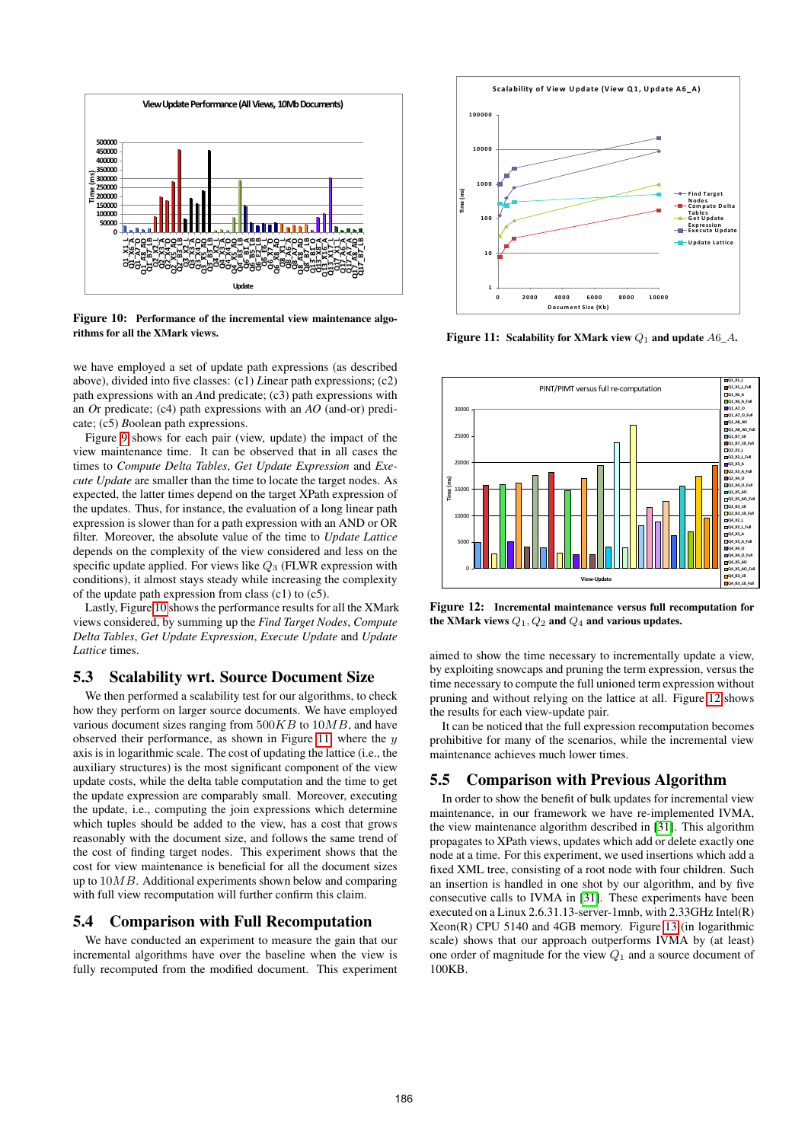

<span id="page-9-3"></span>Figure 10: Performance of the incremental view maintenance algorithms for all the XMark views.

we have employed a set of update path expressions (as described above), divided into five classes: (c1) *L*inear path expressions; (c2) path expressions with an *A*nd predicate; (c3) path expressions with an *O*r predicate; (c4) path expressions with an *AO* (and-or) predicate; (c5) *B*oolean path expressions.

Figure [9](#page-8-3) shows for each pair (view, update) the impact of the view maintenance time. It can be observed that in all cases the times to *Compute Delta Tables*, *Get Update Expression* and *Execute Update* are smaller than the time to locate the target nodes. As expected, the latter times depend on the target XPath expression of the updates. Thus, for instance, the evaluation of a long linear path expression is slower than for a path expression with an AND or OR filter. Moreover, the absolute value of the time to *Update Lattice* depends on the complexity of the view considered and less on the specific update applied. For views like  $Q_3$  (FLWR expression with conditions), it almost stays steady while increasing the complexity of the update path expression from class  $(c1)$  to  $(c5)$ .

Lastly, Figure [10](#page-9-3) shows the performance results for all the XMark views considered, by summing up the *Find Target Nodes*, *Compute Delta Tables*, *Get Update Expression*, *Execute Update* and *Update Lattice* times.

#### <span id="page-9-0"></span>5.3 Scalability wrt. Source Document Size

We then performed a scalability test for our algorithms, to check how they perform on larger source documents. We have employed various document sizes ranging from  $500KB$  to  $10MB$ , and have observed their performance, as shown in Figure [11,](#page-9-4) where the  $y$ axis is in logarithmic scale. The cost of updating the lattice (i.e., the auxiliary structures) is the most significant component of the view update costs, while the delta table computation and the time to get the update expression are comparably small. Moreover, executing the update, i.e., computing the join expressions which determine which tuples should be added to the view, has a cost that grows reasonably with the document size, and follows the same trend of the cost of finding target nodes. This experiment shows that the cost for view maintenance is beneficial for all the document sizes up to  $10MB$ . Additional experiments shown below and comparing with full view recomputation will further confirm this claim.

# <span id="page-9-1"></span>5.4 Comparison with Full Recomputation

We have conducted an experiment to measure the gain that our incremental algorithms have over the baseline when the view is fully recomputed from the modified document. This experiment



<span id="page-9-4"></span>Figure 11: Scalability for XMark view  $Q_1$  and update  $A6_A$ .



<span id="page-9-5"></span>Figure 12: Incremental maintenance versus full recomputation for the XMark views  $Q_1$ ,  $Q_2$  and  $Q_4$  and various updates.

aimed to show the time necessary to incrementally update a view, by exploiting snowcaps and pruning the term expression, versus the time necessary to compute the full unioned term expression without pruning and without relying on the lattice at all. Figure [12](#page-9-5) shows the results for each view-update pair.

It can be noticed that the full expression recomputation becomes prohibitive for many of the scenarios, while the incremental view maintenance achieves much lower times.

# <span id="page-9-2"></span>5.5 Comparison with Previous Algorithm

In order to show the benefit of bulk updates for incremental view maintenance, in our framework we have re-implemented IVMA, the view maintenance algorithm described in [\[31\]](#page-11-15). This algorithm propagates to XPath views, updates which add or delete exactly one node at a time. For this experiment, we used insertions which add a fixed XML tree, consisting of a root node with four children. Such an insertion is handled in one shot by our algorithm, and by five consecutive calls to IVMA in [\[31\]](#page-11-15). These experiments have been executed on a Linux 2.6.31.13-server-1mnb, with 2.33GHz Intel(R) Xeon(R) CPU 5140 and 4GB memory. Figure [13](#page-10-3) (in logarithmic scale) shows that our approach outperforms IVMA by (at least) one order of magnitude for the view  $Q_1$  and a source document of 100KB.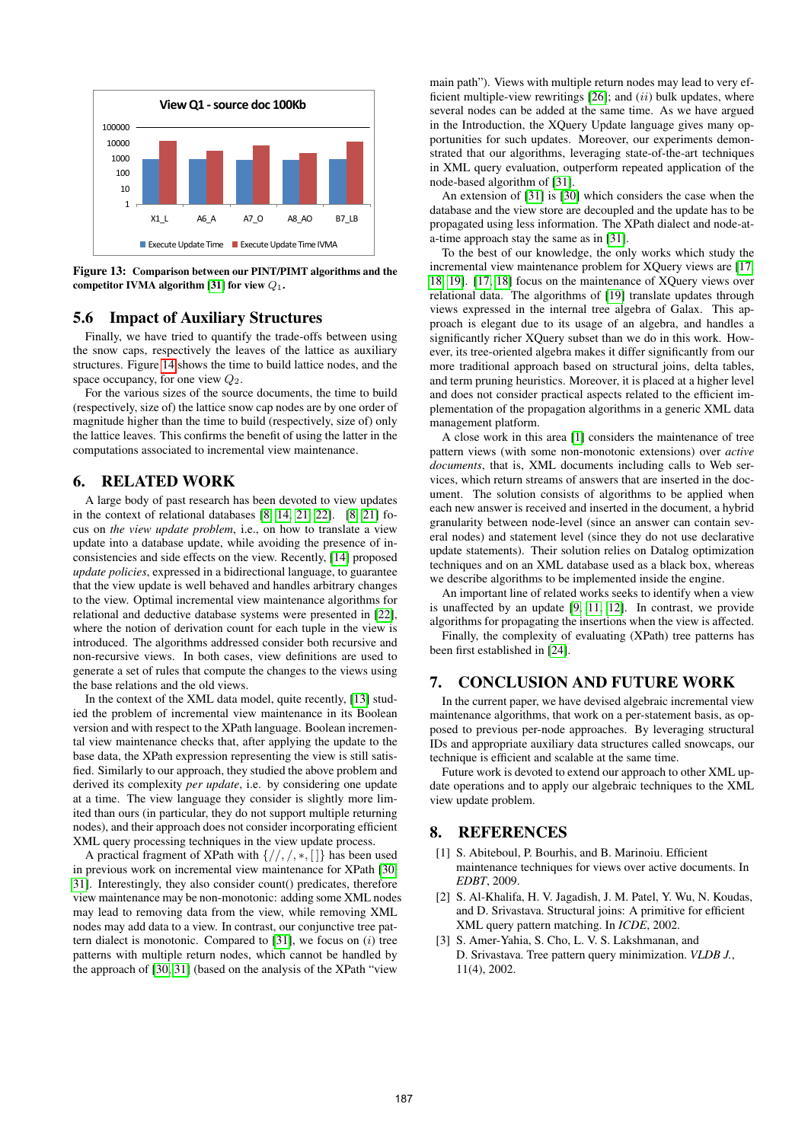

<span id="page-10-3"></span>Figure 13: Comparison between our PINT/PIMT algorithms and the competitor IVMA algorithm [\[31\]](#page-11-15) for view  $Q_1$ .

# 5.6 Impact of Auxiliary Structures

Finally, we have tried to quantify the trade-offs between using the snow caps, respectively the leaves of the lattice as auxiliary structures. Figure [14](#page-11-30) shows the time to build lattice nodes, and the space occupancy, for one view  $Q_2$ .

For the various sizes of the source documents, the time to build (respectively, size of) the lattice snow cap nodes are by one order of magnitude higher than the time to build (respectively, size of) only the lattice leaves. This confirms the benefit of using the latter in the computations associated to incremental view maintenance.

#### <span id="page-10-0"></span>6. RELATED WORK

A large body of past research has been devoted to view updates in the context of relational databases [\[8,](#page-11-31) [14,](#page-11-32) [21,](#page-11-33) [22\]](#page-11-23). [\[8,](#page-11-31) [21\]](#page-11-33) focus on *the view update problem*, i.e., on how to translate a view update into a database update, while avoiding the presence of inconsistencies and side effects on the view. Recently, [\[14\]](#page-11-32) proposed *update policies*, expressed in a bidirectional language, to guarantee that the view update is well behaved and handles arbitrary changes to the view. Optimal incremental view maintenance algorithms for relational and deductive database systems were presented in [\[22\]](#page-11-23), where the notion of derivation count for each tuple in the view is introduced. The algorithms addressed consider both recursive and non-recursive views. In both cases, view definitions are used to generate a set of rules that compute the changes to the views using the base relations and the old views.

In the context of the XML data model, quite recently, [\[13\]](#page-11-10) studied the problem of incremental view maintenance in its Boolean version and with respect to the XPath language. Boolean incremental view maintenance checks that, after applying the update to the base data, the XPath expression representing the view is still satisfied. Similarly to our approach, they studied the above problem and derived its complexity *per update*, i.e. by considering one update at a time. The view language they consider is slightly more limited than ours (in particular, they do not support multiple returning nodes), and their approach does not consider incorporating efficient XML query processing techniques in the view update process.

A practical fragment of XPath with  $\{/\prime, \prime, *, \lceil \rceil\}$  has been used in previous work on incremental view maintenance for XPath [\[30,](#page-11-16) [31\]](#page-11-15). Interestingly, they also consider count() predicates, therefore view maintenance may be non-monotonic: adding some XML nodes may lead to removing data from the view, while removing XML nodes may add data to a view. In contrast, our conjunctive tree pattern dialect is monotonic. Compared to  $[31]$ , we focus on  $(i)$  tree patterns with multiple return nodes, which cannot be handled by the approach of [\[30,](#page-11-16) [31\]](#page-11-15) (based on the analysis of the XPath "view

main path"). Views with multiple return nodes may lead to very efficient multiple-view rewritings  $[26]$ ; and  $(ii)$  bulk updates, where several nodes can be added at the same time. As we have argued in the Introduction, the XQuery Update language gives many opportunities for such updates. Moreover, our experiments demonstrated that our algorithms, leveraging state-of-the-art techniques in XML query evaluation, outperform repeated application of the node-based algorithm of [\[31\]](#page-11-15).

An extension of [\[31\]](#page-11-15) is [\[30\]](#page-11-16) which considers the case when the database and the view store are decoupled and the update has to be propagated using less information. The XPath dialect and node-ata-time approach stay the same as in [\[31\]](#page-11-15).

To the best of our knowledge, the only works which study the incremental view maintenance problem for XQuery views are [\[17,](#page-11-12) [18,](#page-11-2) [19\]](#page-11-13). [\[17,](#page-11-12) [18\]](#page-11-2) focus on the maintenance of XQuery views over relational data. The algorithms of [\[19\]](#page-11-13) translate updates through views expressed in the internal tree algebra of Galax. This approach is elegant due to its usage of an algebra, and handles a significantly richer XQuery subset than we do in this work. However, its tree-oriented algebra makes it differ significantly from our more traditional approach based on structural joins, delta tables, and term pruning heuristics. Moreover, it is placed at a higher level and does not consider practical aspects related to the efficient implementation of the propagation algorithms in a generic XML data management platform.

A close work in this area [\[1\]](#page-10-4) considers the maintenance of tree pattern views (with some non-monotonic extensions) over *active documents*, that is, XML documents including calls to Web services, which return streams of answers that are inserted in the document. The solution consists of algorithms to be applied when each new answer is received and inserted in the document, a hybrid granularity between node-level (since an answer can contain several nodes) and statement level (since they do not use declarative update statements). Their solution relies on Datalog optimization techniques and on an XML database used as a black box, whereas we describe algorithms to be implemented inside the engine.

An important line of related works seeks to identify when a view is unaffected by an update [\[9,](#page-11-9) [11,](#page-11-7) [12\]](#page-11-8). In contrast, we provide algorithms for propagating the insertions when the view is affected.

Finally, the complexity of evaluating (XPath) tree patterns has been first established in [\[24\]](#page-11-35).

# 7. CONCLUSION AND FUTURE WORK

In the current paper, we have devised algebraic incremental view maintenance algorithms, that work on a per-statement basis, as opposed to previous per-node approaches. By leveraging structural IDs and appropriate auxiliary data structures called snowcaps, our technique is efficient and scalable at the same time.

Future work is devoted to extend our approach to other XML update operations and to apply our algebraic techniques to the XML view update problem.

# 8. REFERENCES

- <span id="page-10-4"></span>[1] S. Abiteboul, P. Bourhis, and B. Marinoiu. Efficient maintenance techniques for views over active documents. In *EDBT*, 2009.
- <span id="page-10-2"></span>[2] S. Al-Khalifa, H. V. Jagadish, J. M. Patel, Y. Wu, N. Koudas, and D. Srivastava. Structural joins: A primitive for efficient XML query pattern matching. In *ICDE*, 2002.
- <span id="page-10-1"></span>[3] S. Amer-Yahia, S. Cho, L. V. S. Lakshmanan, and D. Srivastava. Tree pattern query minimization. *VLDB J.*, 11(4), 2002.